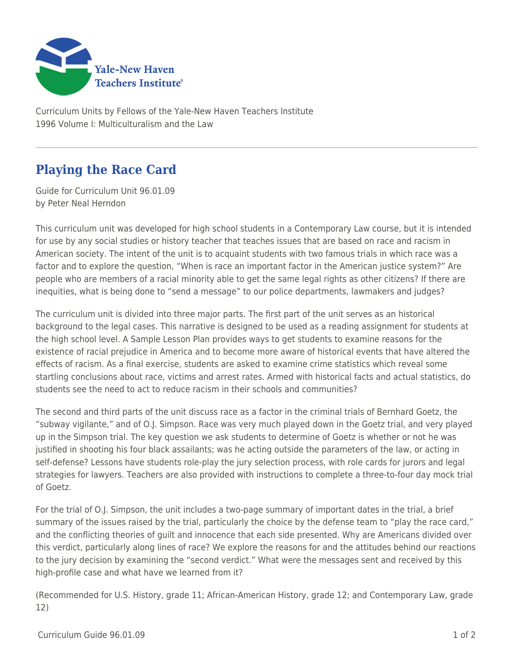

Curriculum Units by Fellows of the Yale-New Haven Teachers Institute 1996 Volume I: Multiculturalism and the Law

## **Playing the Race Card**

Guide for Curriculum Unit 96.01.09 by Peter Neal Herndon

This curriculum unit was developed for high school students in a Contemporary Law course, but it is intended for use by any social studies or history teacher that teaches issues that are based on race and racism in American society. The intent of the unit is to acquaint students with two famous trials in which race was a factor and to explore the question, "When is race an important factor in the American justice system?" Are people who are members of a racial minority able to get the same legal rights as other citizens? If there are inequities, what is being done to "send a message" to our police departments, lawmakers and judges?

The curriculum unit is divided into three major parts. The first part of the unit serves as an historical background to the legal cases. This narrative is designed to be used as a reading assignment for students at the high school level. A Sample Lesson Plan provides ways to get students to examine reasons for the existence of racial prejudice in America and to become more aware of historical events that have altered the effects of racism. As a final exercise, students are asked to examine crime statistics which reveal some startling conclusions about race, victims and arrest rates. Armed with historical facts and actual statistics, do students see the need to act to reduce racism in their schools and communities?

The second and third parts of the unit discuss race as a factor in the criminal trials of Bernhard Goetz, the "subway vigilante," and of O.J. Simpson. Race was very much played down in the Goetz trial, and very played up in the Simpson trial. The key question we ask students to determine of Goetz is whether or not he was justified in shooting his four black assailants; was he acting outside the parameters of the law, or acting in self-defense? Lessons have students role-play the jury selection process, with role cards for jurors and legal strategies for lawyers. Teachers are also provided with instructions to complete a three-to-four day mock trial of Goetz.

For the trial of O.J. Simpson, the unit includes a two-page summary of important dates in the trial, a brief summary of the issues raised by the trial, particularly the choice by the defense team to "play the race card," and the conflicting theories of guilt and innocence that each side presented. Why are Americans divided over this verdict, particularly along lines of race? We explore the reasons for and the attitudes behind our reactions to the jury decision by examining the "second verdict." What were the messages sent and received by this high-profile case and what have we learned from it?

(Recommended for U.S. History, grade 11; African-American History, grade 12; and Contemporary Law, grade 12)